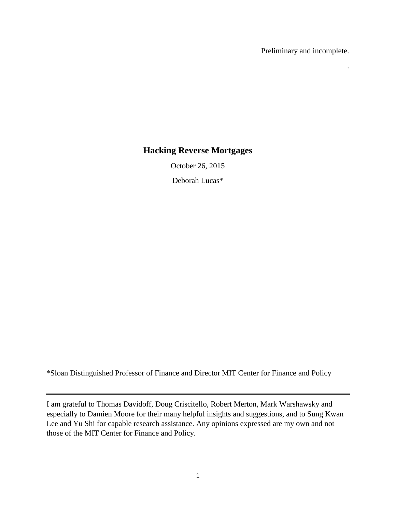Preliminary and incomplete.

.

# **Hacking Reverse Mortgages**

October 26, 2015

Deborah Lucas\*

\*Sloan Distinguished Professor of Finance and Director MIT Center for Finance and Policy

I am grateful to Thomas Davidoff, Doug Criscitello, Robert Merton, Mark Warshawsky and especially to Damien Moore for their many helpful insights and suggestions, and to Sung Kwan Lee and Yu Shi for capable research assistance. Any opinions expressed are my own and not those of the MIT Center for Finance and Policy.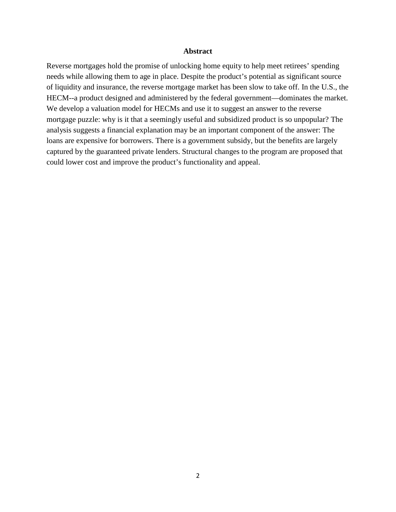#### **Abstract**

Reverse mortgages hold the promise of unlocking home equity to help meet retirees' spending needs while allowing them to age in place. Despite the product's potential as significant source of liquidity and insurance, the reverse mortgage market has been slow to take off. In the U.S., the HECM--a product designed and administered by the federal government—dominates the market. We develop a valuation model for HECMs and use it to suggest an answer to the reverse mortgage puzzle: why is it that a seemingly useful and subsidized product is so unpopular? The analysis suggests a financial explanation may be an important component of the answer: The loans are expensive for borrowers. There is a government subsidy, but the benefits are largely captured by the guaranteed private lenders. Structural changes to the program are proposed that could lower cost and improve the product's functionality and appeal.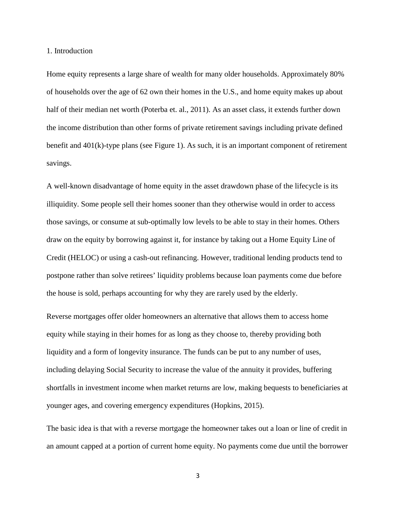1. Introduction

Home equity represents a large share of wealth for many older households. Approximately 80% of households over the age of 62 own their homes in the U.S., and home equity makes up about half of their median net worth (Poterba et. al., 2011). As an asset class, it extends further down the income distribution than other forms of private retirement savings including private defined benefit and 401(k)-type plans (see Figure 1). As such, it is an important component of retirement savings.

A well-known disadvantage of home equity in the asset drawdown phase of the lifecycle is its illiquidity. Some people sell their homes sooner than they otherwise would in order to access those savings, or consume at sub-optimally low levels to be able to stay in their homes. Others draw on the equity by borrowing against it, for instance by taking out a Home Equity Line of Credit (HELOC) or using a cash-out refinancing. However, traditional lending products tend to postpone rather than solve retirees' liquidity problems because loan payments come due before the house is sold, perhaps accounting for why they are rarely used by the elderly.

Reverse mortgages offer older homeowners an alternative that allows them to access home equity while staying in their homes for as long as they choose to, thereby providing both liquidity and a form of longevity insurance. The funds can be put to any number of uses, including delaying Social Security to increase the value of the annuity it provides, buffering shortfalls in investment income when market returns are low, making bequests to beneficiaries at younger ages, and covering emergency expenditures (Hopkins, 2015).

The basic idea is that with a reverse mortgage the homeowner takes out a loan or line of credit in an amount capped at a portion of current home equity. No payments come due until the borrower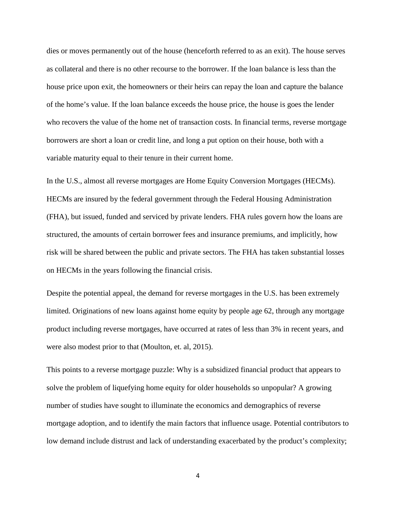dies or moves permanently out of the house (henceforth referred to as an exit). The house serves as collateral and there is no other recourse to the borrower. If the loan balance is less than the house price upon exit, the homeowners or their heirs can repay the loan and capture the balance of the home's value. If the loan balance exceeds the house price, the house is goes the lender who recovers the value of the home net of transaction costs. In financial terms, reverse mortgage borrowers are short a loan or credit line, and long a put option on their house, both with a variable maturity equal to their tenure in their current home.

In the U.S., almost all reverse mortgages are Home Equity Conversion Mortgages (HECMs). HECMs are insured by the federal government through the Federal Housing Administration (FHA), but issued, funded and serviced by private lenders. FHA rules govern how the loans are structured, the amounts of certain borrower fees and insurance premiums, and implicitly, how risk will be shared between the public and private sectors. The FHA has taken substantial losses on HECMs in the years following the financial crisis.

Despite the potential appeal, the demand for reverse mortgages in the U.S. has been extremely limited. Originations of new loans against home equity by people age 62, through any mortgage product including reverse mortgages, have occurred at rates of less than 3% in recent years, and were also modest prior to that (Moulton, et. al, 2015).

This points to a reverse mortgage puzzle: Why is a subsidized financial product that appears to solve the problem of liquefying home equity for older households so unpopular? A growing number of studies have sought to illuminate the economics and demographics of reverse mortgage adoption, and to identify the main factors that influence usage. Potential contributors to low demand include distrust and lack of understanding exacerbated by the product's complexity;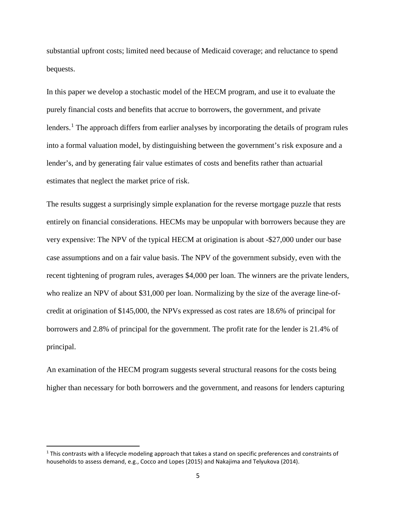substantial upfront costs; limited need because of Medicaid coverage; and reluctance to spend bequests.

In this paper we develop a stochastic model of the HECM program, and use it to evaluate the purely financial costs and benefits that accrue to borrowers, the government, and private lenders.<sup>[1](#page-4-0)</sup> The approach differs from earlier analyses by incorporating the details of program rules into a formal valuation model, by distinguishing between the government's risk exposure and a lender's, and by generating fair value estimates of costs and benefits rather than actuarial estimates that neglect the market price of risk.

The results suggest a surprisingly simple explanation for the reverse mortgage puzzle that rests entirely on financial considerations. HECMs may be unpopular with borrowers because they are very expensive: The NPV of the typical HECM at origination is about -\$27,000 under our base case assumptions and on a fair value basis. The NPV of the government subsidy, even with the recent tightening of program rules, averages \$4,000 per loan. The winners are the private lenders, who realize an NPV of about \$31,000 per loan. Normalizing by the size of the average line-ofcredit at origination of \$145,000, the NPVs expressed as cost rates are 18.6% of principal for borrowers and 2.8% of principal for the government. The profit rate for the lender is 21.4% of principal.

An examination of the HECM program suggests several structural reasons for the costs being higher than necessary for both borrowers and the government, and reasons for lenders capturing

<span id="page-4-0"></span> $1$  This contrasts with a lifecycle modeling approach that takes a stand on specific preferences and constraints of households to assess demand, e.g., Cocco and Lopes (2015) and Nakajima and Telyukova (2014).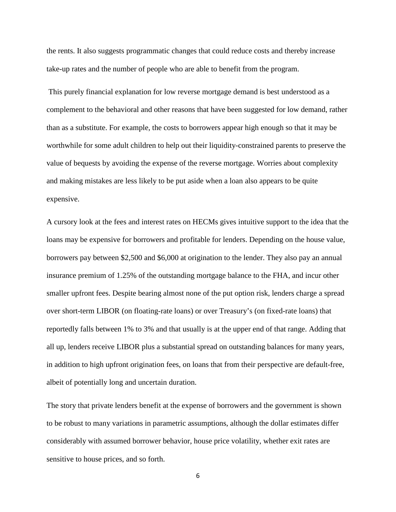the rents. It also suggests programmatic changes that could reduce costs and thereby increase take-up rates and the number of people who are able to benefit from the program.

This purely financial explanation for low reverse mortgage demand is best understood as a complement to the behavioral and other reasons that have been suggested for low demand, rather than as a substitute. For example, the costs to borrowers appear high enough so that it may be worthwhile for some adult children to help out their liquidity-constrained parents to preserve the value of bequests by avoiding the expense of the reverse mortgage. Worries about complexity and making mistakes are less likely to be put aside when a loan also appears to be quite expensive.

A cursory look at the fees and interest rates on HECMs gives intuitive support to the idea that the loans may be expensive for borrowers and profitable for lenders. Depending on the house value, borrowers pay between \$2,500 and \$6,000 at origination to the lender. They also pay an annual insurance premium of 1.25% of the outstanding mortgage balance to the FHA, and incur other smaller upfront fees. Despite bearing almost none of the put option risk, lenders charge a spread over short-term LIBOR (on floating-rate loans) or over Treasury's (on fixed-rate loans) that reportedly falls between 1% to 3% and that usually is at the upper end of that range. Adding that all up, lenders receive LIBOR plus a substantial spread on outstanding balances for many years, in addition to high upfront origination fees, on loans that from their perspective are default-free, albeit of potentially long and uncertain duration.

The story that private lenders benefit at the expense of borrowers and the government is shown to be robust to many variations in parametric assumptions, although the dollar estimates differ considerably with assumed borrower behavior, house price volatility, whether exit rates are sensitive to house prices, and so forth.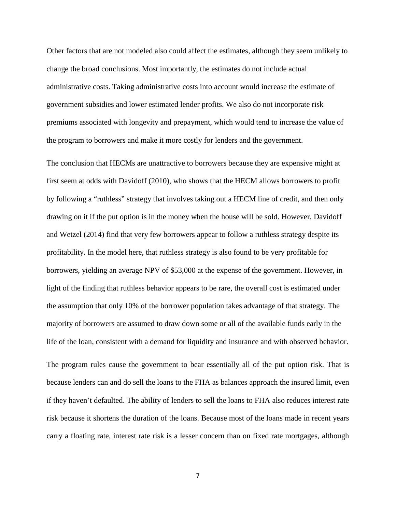Other factors that are not modeled also could affect the estimates, although they seem unlikely to change the broad conclusions. Most importantly, the estimates do not include actual administrative costs. Taking administrative costs into account would increase the estimate of government subsidies and lower estimated lender profits. We also do not incorporate risk premiums associated with longevity and prepayment, which would tend to increase the value of the program to borrowers and make it more costly for lenders and the government.

The conclusion that HECMs are unattractive to borrowers because they are expensive might at first seem at odds with Davidoff (2010), who shows that the HECM allows borrowers to profit by following a "ruthless" strategy that involves taking out a HECM line of credit, and then only drawing on it if the put option is in the money when the house will be sold. However, Davidoff and Wetzel (2014) find that very few borrowers appear to follow a ruthless strategy despite its profitability. In the model here, that ruthless strategy is also found to be very profitable for borrowers, yielding an average NPV of \$53,000 at the expense of the government. However, in light of the finding that ruthless behavior appears to be rare, the overall cost is estimated under the assumption that only 10% of the borrower population takes advantage of that strategy. The majority of borrowers are assumed to draw down some or all of the available funds early in the life of the loan, consistent with a demand for liquidity and insurance and with observed behavior.

The program rules cause the government to bear essentially all of the put option risk. That is because lenders can and do sell the loans to the FHA as balances approach the insured limit, even if they haven't defaulted. The ability of lenders to sell the loans to FHA also reduces interest rate risk because it shortens the duration of the loans. Because most of the loans made in recent years carry a floating rate, interest rate risk is a lesser concern than on fixed rate mortgages, although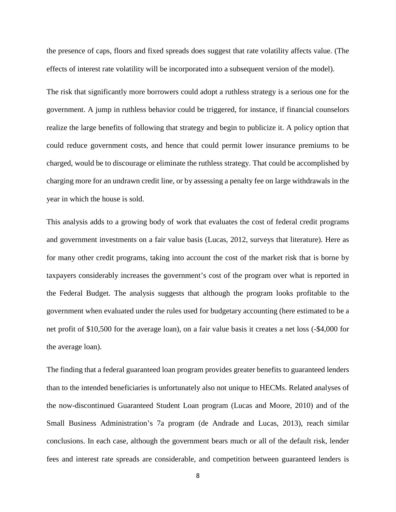the presence of caps, floors and fixed spreads does suggest that rate volatility affects value. (The effects of interest rate volatility will be incorporated into a subsequent version of the model).

The risk that significantly more borrowers could adopt a ruthless strategy is a serious one for the government. A jump in ruthless behavior could be triggered, for instance, if financial counselors realize the large benefits of following that strategy and begin to publicize it. A policy option that could reduce government costs, and hence that could permit lower insurance premiums to be charged, would be to discourage or eliminate the ruthless strategy. That could be accomplished by charging more for an undrawn credit line, or by assessing a penalty fee on large withdrawals in the year in which the house is sold.

This analysis adds to a growing body of work that evaluates the cost of federal credit programs and government investments on a fair value basis (Lucas, 2012, surveys that literature). Here as for many other credit programs, taking into account the cost of the market risk that is borne by taxpayers considerably increases the government's cost of the program over what is reported in the Federal Budget. The analysis suggests that although the program looks profitable to the government when evaluated under the rules used for budgetary accounting (here estimated to be a net profit of \$10,500 for the average loan), on a fair value basis it creates a net loss (-\$4,000 for the average loan).

The finding that a federal guaranteed loan program provides greater benefits to guaranteed lenders than to the intended beneficiaries is unfortunately also not unique to HECMs. Related analyses of the now-discontinued Guaranteed Student Loan program (Lucas and Moore, 2010) and of the Small Business Administration's 7a program (de Andrade and Lucas, 2013), reach similar conclusions. In each case, although the government bears much or all of the default risk, lender fees and interest rate spreads are considerable, and competition between guaranteed lenders is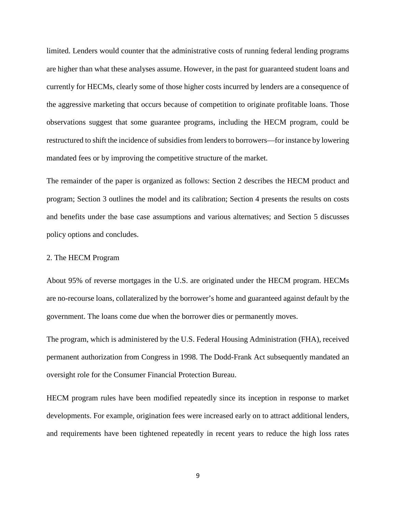limited. Lenders would counter that the administrative costs of running federal lending programs are higher than what these analyses assume. However, in the past for guaranteed student loans and currently for HECMs, clearly some of those higher costs incurred by lenders are a consequence of the aggressive marketing that occurs because of competition to originate profitable loans. Those observations suggest that some guarantee programs, including the HECM program, could be restructured to shift the incidence of subsidies from lenders to borrowers—for instance by lowering mandated fees or by improving the competitive structure of the market.

The remainder of the paper is organized as follows: Section 2 describes the HECM product and program; Section 3 outlines the model and its calibration; Section 4 presents the results on costs and benefits under the base case assumptions and various alternatives; and Section 5 discusses policy options and concludes.

#### 2. The HECM Program

About 95% of reverse mortgages in the U.S. are originated under the HECM program. HECMs are no-recourse loans, collateralized by the borrower's home and guaranteed against default by the government. The loans come due when the borrower dies or permanently moves.

The program, which is administered by the U.S. Federal Housing Administration (FHA), received permanent authorization from Congress in 1998. The Dodd-Frank Act subsequently mandated an oversight role for the Consumer Financial Protection Bureau.

HECM program rules have been modified repeatedly since its inception in response to market developments. For example, origination fees were increased early on to attract additional lenders, and requirements have been tightened repeatedly in recent years to reduce the high loss rates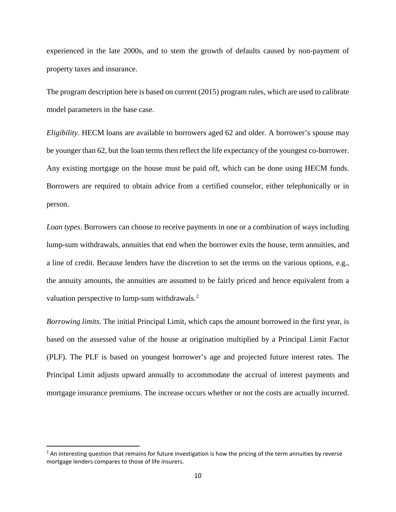experienced in the late 2000s, and to stem the growth of defaults caused by non-payment of property taxes and insurance.

The program description here is based on current (2015) program rules, which are used to calibrate model parameters in the base case.

*Eligibility*. HECM loans are available to borrowers aged 62 and older. A borrower's spouse may be younger than 62, but the loan terms then reflect the life expectancy of the youngest co-borrower. Any existing mortgage on the house must be paid off, which can be done using HECM funds. Borrowers are required to obtain advice from a certified counselor, either telephonically or in person.

*Loan types*. Borrowers can choose to receive payments in one or a combination of ways including lump-sum withdrawals, annuities that end when the borrower exits the house, term annuities, and a line of credit. Because lenders have the discretion to set the terms on the various options, e.g., the annuity amounts, the annuities are assumed to be fairly priced and hence equivalent from a valuation perspective to lump-sum withdrawals.<sup>[2](#page-9-0)</sup>

*Borrowing limits.* The initial Principal Limit, which caps the amount borrowed in the first year, is based on the assessed value of the house at origination multiplied by a Principal Limit Factor (PLF). The PLF is based on youngest borrower's age and projected future interest rates. The Principal Limit adjusts upward annually to accommodate the accrual of interest payments and mortgage insurance premiums. The increase occurs whether or not the costs are actually incurred.

<span id="page-9-0"></span> $<sup>2</sup>$  An interesting question that remains for future investigation is how the pricing of the term annuities by reverse</sup> mortgage lenders compares to those of life insurers.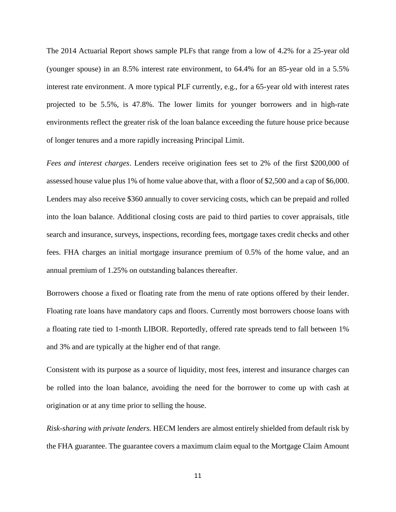The 2014 Actuarial Report shows sample PLFs that range from a low of 4.2% for a 25-year old (younger spouse) in an 8.5% interest rate environment, to 64.4% for an 85-year old in a 5.5% interest rate environment. A more typical PLF currently, e.g., for a 65-year old with interest rates projected to be 5.5%, is 47.8%. The lower limits for younger borrowers and in high-rate environments reflect the greater risk of the loan balance exceeding the future house price because of longer tenures and a more rapidly increasing Principal Limit.

*Fees and interest charges*. Lenders receive origination fees set to 2% of the first \$200,000 of assessed house value plus 1% of home value above that, with a floor of \$2,500 and a cap of \$6,000. Lenders may also receive \$360 annually to cover servicing costs, which can be prepaid and rolled into the loan balance. Additional closing costs are paid to third parties to cover appraisals, title search and insurance, surveys, inspections, recording fees, mortgage taxes credit checks and other fees. FHA charges an initial mortgage insurance premium of 0.5% of the home value, and an annual premium of 1.25% on outstanding balances thereafter.

Borrowers choose a fixed or floating rate from the menu of rate options offered by their lender. Floating rate loans have mandatory caps and floors. Currently most borrowers choose loans with a floating rate tied to 1-month LIBOR. Reportedly, offered rate spreads tend to fall between 1% and 3% and are typically at the higher end of that range.

Consistent with its purpose as a source of liquidity, most fees, interest and insurance charges can be rolled into the loan balance, avoiding the need for the borrower to come up with cash at origination or at any time prior to selling the house.

*Risk-sharing with private lenders.* HECM lenders are almost entirely shielded from default risk by the FHA guarantee. The guarantee covers a maximum claim equal to the Mortgage Claim Amount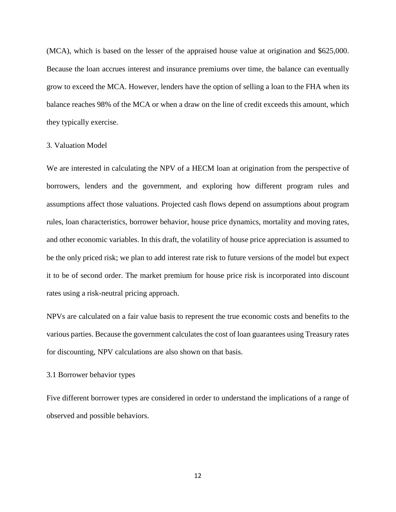(MCA), which is based on the lesser of the appraised house value at origination and \$625,000. Because the loan accrues interest and insurance premiums over time, the balance can eventually grow to exceed the MCA. However, lenders have the option of selling a loan to the FHA when its balance reaches 98% of the MCA or when a draw on the line of credit exceeds this amount, which they typically exercise.

## 3. Valuation Model

We are interested in calculating the NPV of a HECM loan at origination from the perspective of borrowers, lenders and the government, and exploring how different program rules and assumptions affect those valuations. Projected cash flows depend on assumptions about program rules, loan characteristics, borrower behavior, house price dynamics, mortality and moving rates, and other economic variables. In this draft, the volatility of house price appreciation is assumed to be the only priced risk; we plan to add interest rate risk to future versions of the model but expect it to be of second order. The market premium for house price risk is incorporated into discount rates using a risk-neutral pricing approach.

NPVs are calculated on a fair value basis to represent the true economic costs and benefits to the various parties. Because the government calculates the cost of loan guarantees using Treasury rates for discounting, NPV calculations are also shown on that basis.

#### 3.1 Borrower behavior types

Five different borrower types are considered in order to understand the implications of a range of observed and possible behaviors.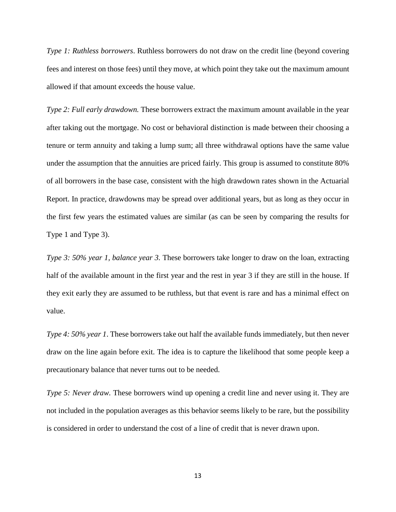*Type 1: Ruthless borrowers*. Ruthless borrowers do not draw on the credit line (beyond covering fees and interest on those fees) until they move, at which point they take out the maximum amount allowed if that amount exceeds the house value.

*Type 2: Full early drawdown.* These borrowers extract the maximum amount available in the year after taking out the mortgage. No cost or behavioral distinction is made between their choosing a tenure or term annuity and taking a lump sum; all three withdrawal options have the same value under the assumption that the annuities are priced fairly. This group is assumed to constitute 80% of all borrowers in the base case, consistent with the high drawdown rates shown in the Actuarial Report. In practice, drawdowns may be spread over additional years, but as long as they occur in the first few years the estimated values are similar (as can be seen by comparing the results for Type 1 and Type 3).

*Type 3: 50% year 1, balance year 3.* These borrowers take longer to draw on the loan, extracting half of the available amount in the first year and the rest in year 3 if they are still in the house. If they exit early they are assumed to be ruthless, but that event is rare and has a minimal effect on value.

*Type 4: 50% year 1*. These borrowers take out half the available funds immediately, but then never draw on the line again before exit. The idea is to capture the likelihood that some people keep a precautionary balance that never turns out to be needed.

*Type 5: Never draw.* These borrowers wind up opening a credit line and never using it. They are not included in the population averages as this behavior seems likely to be rare, but the possibility is considered in order to understand the cost of a line of credit that is never drawn upon.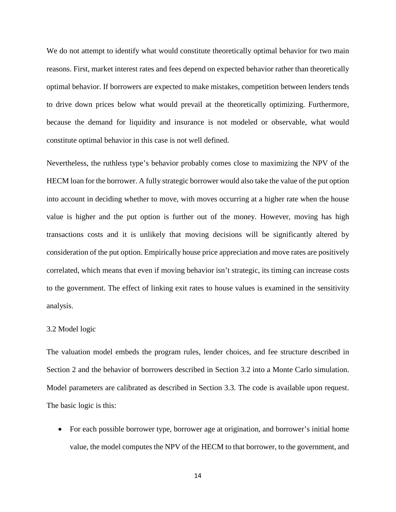We do not attempt to identify what would constitute theoretically optimal behavior for two main reasons. First, market interest rates and fees depend on expected behavior rather than theoretically optimal behavior. If borrowers are expected to make mistakes, competition between lenders tends to drive down prices below what would prevail at the theoretically optimizing. Furthermore, because the demand for liquidity and insurance is not modeled or observable, what would constitute optimal behavior in this case is not well defined.

Nevertheless, the ruthless type's behavior probably comes close to maximizing the NPV of the HECM loan for the borrower. A fully strategic borrower would also take the value of the put option into account in deciding whether to move, with moves occurring at a higher rate when the house value is higher and the put option is further out of the money. However, moving has high transactions costs and it is unlikely that moving decisions will be significantly altered by consideration of the put option. Empirically house price appreciation and move rates are positively correlated, which means that even if moving behavior isn't strategic, its timing can increase costs to the government. The effect of linking exit rates to house values is examined in the sensitivity analysis.

#### 3.2 Model logic

The valuation model embeds the program rules, lender choices, and fee structure described in Section 2 and the behavior of borrowers described in Section 3.2 into a Monte Carlo simulation. Model parameters are calibrated as described in Section 3.3. The code is available upon request. The basic logic is this:

• For each possible borrower type, borrower age at origination, and borrower's initial home value, the model computes the NPV of the HECM to that borrower, to the government, and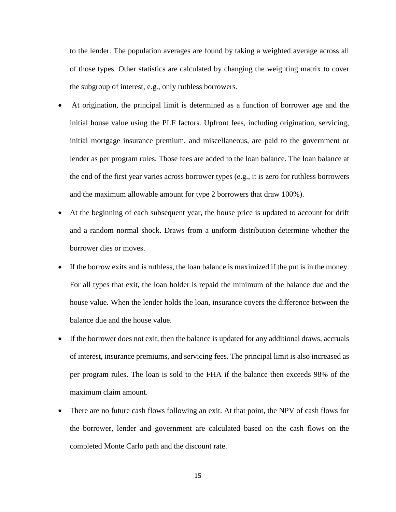to the lender. The population averages are found by taking a weighted average across all of those types. Other statistics are calculated by changing the weighting matrix to cover the subgroup of interest, e.g., only ruthless borrowers.

- At origination, the principal limit is determined as a function of borrower age and the initial house value using the PLF factors. Upfront fees, including origination, servicing, initial mortgage insurance premium, and miscellaneous, are paid to the government or lender as per program rules. Those fees are added to the loan balance. The loan balance at the end of the first year varies across borrower types (e.g., it is zero for ruthless borrowers and the maximum allowable amount for type 2 borrowers that draw 100%).
- At the beginning of each subsequent year, the house price is updated to account for drift and a random normal shock. Draws from a uniform distribution determine whether the borrower dies or moves.
- If the borrow exits and is ruthless, the loan balance is maximized if the put is in the money. For all types that exit, the loan holder is repaid the minimum of the balance due and the house value. When the lender holds the loan, insurance covers the difference between the balance due and the house value.
- If the borrower does not exit, then the balance is updated for any additional draws, accruals of interest, insurance premiums, and servicing fees. The principal limit is also increased as per program rules. The loan is sold to the FHA if the balance then exceeds 98% of the maximum claim amount.
- There are no future cash flows following an exit. At that point, the NPV of cash flows for the borrower, lender and government are calculated based on the cash flows on the completed Monte Carlo path and the discount rate.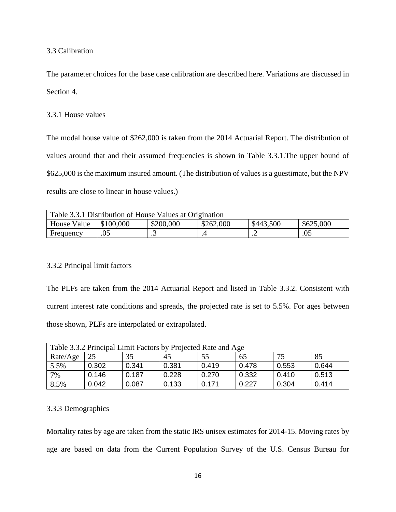# 3.3 Calibration

The parameter choices for the base case calibration are described here. Variations are discussed in Section 4.

#### 3.3.1 House values

The modal house value of \$262,000 is taken from the 2014 Actuarial Report. The distribution of values around that and their assumed frequencies is shown in Table 3.3.1.The upper bound of \$625,000 is the maximum insured amount. (The distribution of values is a guestimate, but the NPV results are close to linear in house values.)

| Table 3.3.1 Distribution of House Values at Origination                      |     |   |  |                      |     |
|------------------------------------------------------------------------------|-----|---|--|----------------------|-----|
| \$262,000<br>\$200,000<br>\$100,000<br>\$443,500<br>\$625,000<br>House Value |     |   |  |                      |     |
| Frequency                                                                    | .05 | ت |  | $\cdot$ $\leftarrow$ | .05 |

## 3.3.2 Principal limit factors

The PLFs are taken from the 2014 Actuarial Report and listed in Table 3.3.2. Consistent with current interest rate conditions and spreads, the projected rate is set to 5.5%. For ages between those shown, PLFs are interpolated or extrapolated.

| Table 3.3.2 Principal Limit Factors by Projected Rate and Age |       |       |       |       |       |       |       |
|---------------------------------------------------------------|-------|-------|-------|-------|-------|-------|-------|
| Rate/Age                                                      | 25    | 35    | 45    | 55    | 65    | 75    | 85    |
| 5.5%                                                          | 0.302 | 0.341 | 0.381 | 0.419 | 0.478 | 0.553 | 0.644 |
| 7%                                                            | 0.146 | 0.187 | 0.228 | 0.270 | 0.332 | 0.410 | 0.513 |
| 8.5%                                                          | 0.042 | 0.087 | 0.133 | 0.171 | 0.227 | 0.304 | 0.414 |

## 3.3.3 Demographics

Mortality rates by age are taken from the static IRS unisex estimates for 2014-15. Moving rates by age are based on data from the Current Population Survey of the U.S. Census Bureau for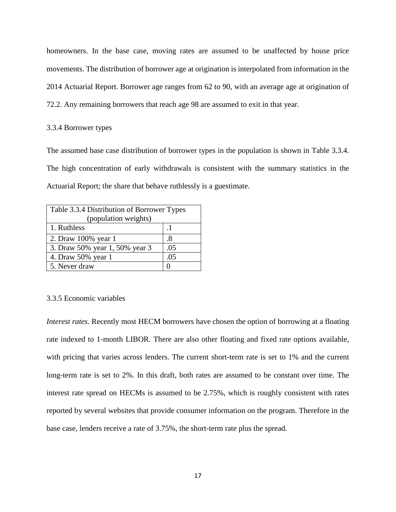homeowners. In the base case, moving rates are assumed to be unaffected by house price movements. The distribution of borrower age at origination is interpolated from information in the 2014 Actuarial Report. Borrower age ranges from 62 to 90, with an average age at origination of 72.2. Any remaining borrowers that reach age 98 are assumed to exit in that year.

#### 3.3.4 Borrower types

The assumed base case distribution of borrower types in the population is shown in Table 3.3.4. The high concentration of early withdrawals is consistent with the summary statistics in the Actuarial Report; the share that behave ruthlessly is a guestimate.

| Table 3.3.4 Distribution of Borrower Types |     |  |  |
|--------------------------------------------|-----|--|--|
| (population weights)                       |     |  |  |
| 1. Ruthless                                |     |  |  |
| 2. Draw 100% year 1                        | .8  |  |  |
| 3. Draw 50% year 1, 50% year 3             | .05 |  |  |
| 4. Draw 50% year 1                         | .05 |  |  |
| 5. Never draw                              |     |  |  |

## 3.3.5 Economic variables

*Interest rates*. Recently most HECM borrowers have chosen the option of borrowing at a floating rate indexed to 1-month LIBOR. There are also other floating and fixed rate options available, with pricing that varies across lenders. The current short-term rate is set to 1% and the current long-term rate is set to 2%. In this draft, both rates are assumed to be constant over time. The interest rate spread on HECMs is assumed to be 2.75%, which is roughly consistent with rates reported by several websites that provide consumer information on the program. Therefore in the base case, lenders receive a rate of 3.75%, the short-term rate plus the spread.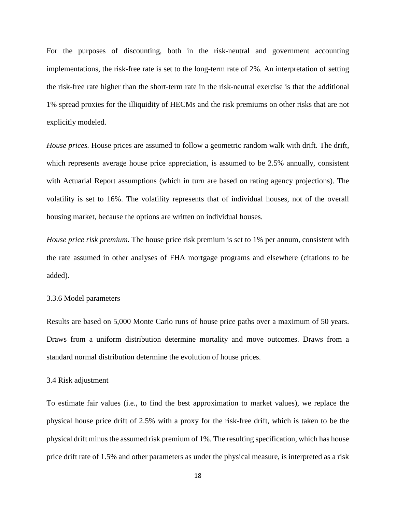For the purposes of discounting, both in the risk-neutral and government accounting implementations, the risk-free rate is set to the long-term rate of 2%. An interpretation of setting the risk-free rate higher than the short-term rate in the risk-neutral exercise is that the additional 1% spread proxies for the illiquidity of HECMs and the risk premiums on other risks that are not explicitly modeled.

*House prices.* House prices are assumed to follow a geometric random walk with drift. The drift, which represents average house price appreciation, is assumed to be 2.5% annually, consistent with Actuarial Report assumptions (which in turn are based on rating agency projections). The volatility is set to 16%. The volatility represents that of individual houses, not of the overall housing market, because the options are written on individual houses.

*House price risk premium.* The house price risk premium is set to 1% per annum, consistent with the rate assumed in other analyses of FHA mortgage programs and elsewhere (citations to be added).

## 3.3.6 Model parameters

Results are based on 5,000 Monte Carlo runs of house price paths over a maximum of 50 years. Draws from a uniform distribution determine mortality and move outcomes. Draws from a standard normal distribution determine the evolution of house prices.

#### 3.4 Risk adjustment

To estimate fair values (i.e., to find the best approximation to market values), we replace the physical house price drift of 2.5% with a proxy for the risk-free drift, which is taken to be the physical drift minus the assumed risk premium of 1%. The resulting specification, which has house price drift rate of 1.5% and other parameters as under the physical measure, is interpreted as a risk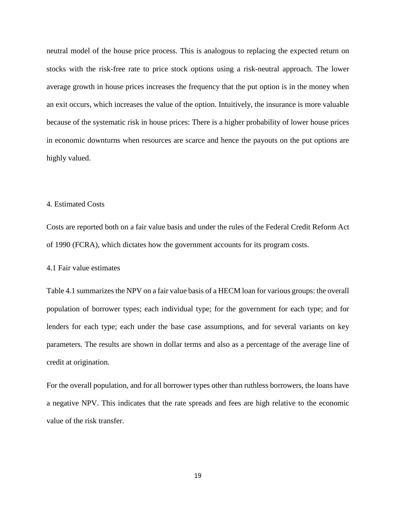neutral model of the house price process. This is analogous to replacing the expected return on stocks with the risk-free rate to price stock options using a risk-neutral approach. The lower average growth in house prices increases the frequency that the put option is in the money when an exit occurs, which increases the value of the option. Intuitively, the insurance is more valuable because of the systematic risk in house prices: There is a higher probability of lower house prices in economic downturns when resources are scarce and hence the payouts on the put options are highly valued.

## 4. Estimated Costs

Costs are reported both on a fair value basis and under the rules of the Federal Credit Reform Act of 1990 (FCRA), which dictates how the government accounts for its program costs.

4.1 Fair value estimates

Table 4.1 summarizes the NPV on a fair value basis of a HECM loan for various groups: the overall population of borrower types; each individual type; for the government for each type; and for lenders for each type; each under the base case assumptions, and for several variants on key parameters. The results are shown in dollar terms and also as a percentage of the average line of credit at origination.

For the overall population, and for all borrower types other than ruthless borrowers, the loans have a negative NPV. This indicates that the rate spreads and fees are high relative to the economic value of the risk transfer.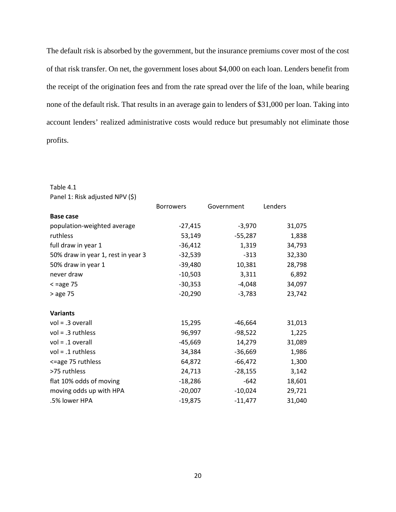The default risk is absorbed by the government, but the insurance premiums cover most of the cost of that risk transfer. On net, the government loses about \$4,000 on each loan. Lenders benefit from the receipt of the origination fees and from the rate spread over the life of the loan, while bearing none of the default risk. That results in an average gain to lenders of \$31,000 per loan. Taking into account lenders' realized administrative costs would reduce but presumably not eliminate those profits.

#### Table 4.1

| Panel 1: Risk adjusted NPV (\$)    |                  |            |         |
|------------------------------------|------------------|------------|---------|
|                                    | <b>Borrowers</b> | Government | Lenders |
| <b>Base case</b>                   |                  |            |         |
| population-weighted average        | $-27,415$        | $-3,970$   | 31,075  |
| ruthless                           | 53,149           | $-55,287$  | 1,838   |
| full draw in year 1                | $-36,412$        | 1,319      | 34,793  |
| 50% draw in year 1, rest in year 3 | $-32,539$        | $-313$     | 32,330  |
| 50% draw in year 1                 | $-39,480$        | 10,381     | 28,798  |
| never draw                         | $-10,503$        | 3,311      | 6,892   |
| $\leq$ =age 75                     | $-30,353$        | $-4,048$   | 34,097  |
| > age 75                           | $-20,290$        | $-3,783$   | 23,742  |
| <b>Variants</b>                    |                  |            |         |
| $vol = .3$ overall                 | 15,295           | $-46,664$  | 31,013  |
| $vol = .3$ ruthless                | 96,997           | $-98,522$  | 1,225   |
| $vol = .1$ overall                 | $-45,669$        | 14,279     | 31,089  |
| $vol = .1$ ruthless                | 34,384           | $-36,669$  | 1,986   |
| <=age 75 ruthless                  | 64,872           | $-66,472$  | 1,300   |
| >75 ruthless                       | 24,713           | $-28,155$  | 3,142   |
| flat 10% odds of moving            | $-18,286$        | $-642$     | 18,601  |
| moving odds up with HPA            | $-20,007$        | $-10,024$  | 29,721  |
| .5% lower HPA                      | $-19,875$        | $-11,477$  | 31,040  |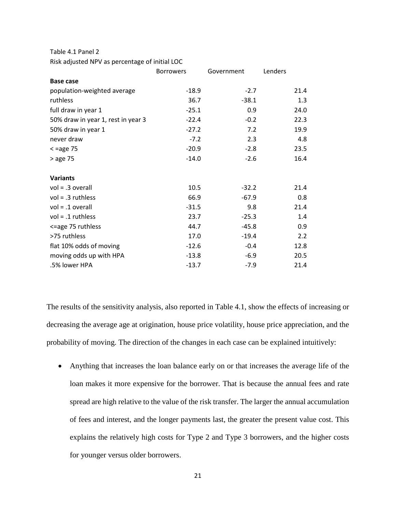Table 4.1 Panel 2

Risk adjusted NPV as percentage of initial LOC

|                                    | <b>Borrowers</b> | Government | Lenders |
|------------------------------------|------------------|------------|---------|
| <b>Base case</b>                   |                  |            |         |
| population-weighted average        | $-18.9$          | $-2.7$     | 21.4    |
| ruthless                           | 36.7             | $-38.1$    | 1.3     |
| full draw in year 1                | $-25.1$          | 0.9        | 24.0    |
| 50% draw in year 1, rest in year 3 | $-22.4$          | $-0.2$     | 22.3    |
| 50% draw in year 1                 | $-27.2$          | 7.2        | 19.9    |
| never draw                         | $-7.2$           | 2.3        | 4.8     |
| $\leq$ =age 75                     | $-20.9$          | $-2.8$     | 23.5    |
| > age 75                           | $-14.0$          | $-2.6$     | 16.4    |
|                                    |                  |            |         |
| <b>Variants</b>                    |                  |            |         |
| $vol = .3$ overall                 | 10.5             | $-32.2$    | 21.4    |
| $vol = .3$ ruthless                | 66.9             | $-67.9$    | 0.8     |
| $vol = .1$ overall                 | $-31.5$          | 9.8        | 21.4    |
| $vol = .1$ ruthless                | 23.7             | $-25.3$    | 1.4     |
| <=age 75 ruthless                  | 44.7             | $-45.8$    | 0.9     |
| >75 ruthless                       | 17.0             | $-19.4$    | 2.2     |
| flat 10% odds of moving            | $-12.6$          | $-0.4$     | 12.8    |
| moving odds up with HPA            | $-13.8$          | $-6.9$     | 20.5    |
| .5% lower HPA                      | $-13.7$          | $-7.9$     | 21.4    |

The results of the sensitivity analysis, also reported in Table 4.1, show the effects of increasing or decreasing the average age at origination, house price volatility, house price appreciation, and the probability of moving. The direction of the changes in each case can be explained intuitively:

• Anything that increases the loan balance early on or that increases the average life of the loan makes it more expensive for the borrower. That is because the annual fees and rate spread are high relative to the value of the risk transfer. The larger the annual accumulation of fees and interest, and the longer payments last, the greater the present value cost. This explains the relatively high costs for Type 2 and Type 3 borrowers, and the higher costs for younger versus older borrowers.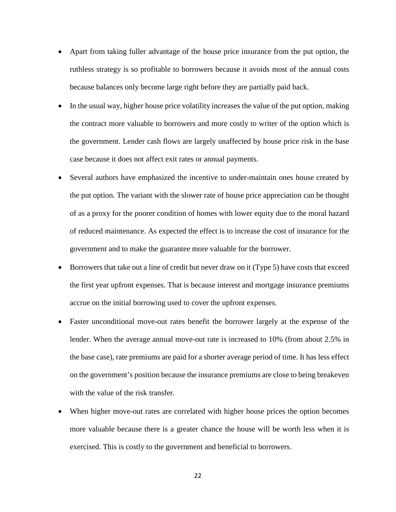- Apart from taking fuller advantage of the house price insurance from the put option, the ruthless strategy is so profitable to borrowers because it avoids most of the annual costs because balances only become large right before they are partially paid back.
- In the usual way, higher house price volatility increases the value of the put option, making the contract more valuable to borrowers and more costly to writer of the option which is the government. Lender cash flows are largely unaffected by house price risk in the base case because it does not affect exit rates or annual payments.
- Several authors have emphasized the incentive to under-maintain ones house created by the put option. The variant with the slower rate of house price appreciation can be thought of as a proxy for the poorer condition of homes with lower equity due to the moral hazard of reduced maintenance. As expected the effect is to increase the cost of insurance for the government and to make the guarantee more valuable for the borrower.
- Borrowers that take out a line of credit but never draw on it (Type 5) have costs that exceed the first year upfront expenses. That is because interest and mortgage insurance premiums accrue on the initial borrowing used to cover the upfront expenses.
- Faster unconditional move-out rates benefit the borrower largely at the expense of the lender. When the average annual move-out rate is increased to 10% (from about 2.5% in the base case), rate premiums are paid for a shorter average period of time. It has less effect on the government's position because the insurance premiums are close to being breakeven with the value of the risk transfer.
- When higher move-out rates are correlated with higher house prices the option becomes more valuable because there is a greater chance the house will be worth less when it is exercised. This is costly to the government and beneficial to borrowers.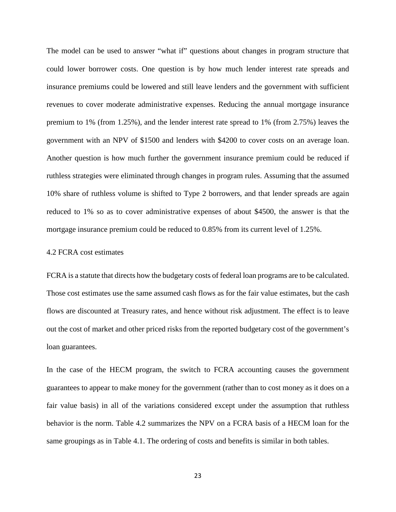The model can be used to answer "what if" questions about changes in program structure that could lower borrower costs. One question is by how much lender interest rate spreads and insurance premiums could be lowered and still leave lenders and the government with sufficient revenues to cover moderate administrative expenses. Reducing the annual mortgage insurance premium to 1% (from 1.25%), and the lender interest rate spread to 1% (from 2.75%) leaves the government with an NPV of \$1500 and lenders with \$4200 to cover costs on an average loan. Another question is how much further the government insurance premium could be reduced if ruthless strategies were eliminated through changes in program rules. Assuming that the assumed 10% share of ruthless volume is shifted to Type 2 borrowers, and that lender spreads are again reduced to 1% so as to cover administrative expenses of about \$4500, the answer is that the mortgage insurance premium could be reduced to 0.85% from its current level of 1.25%.

# 4.2 FCRA cost estimates

FCRA is a statute that directs how the budgetary costs of federal loan programs are to be calculated. Those cost estimates use the same assumed cash flows as for the fair value estimates, but the cash flows are discounted at Treasury rates, and hence without risk adjustment. The effect is to leave out the cost of market and other priced risks from the reported budgetary cost of the government's loan guarantees.

In the case of the HECM program, the switch to FCRA accounting causes the government guarantees to appear to make money for the government (rather than to cost money as it does on a fair value basis) in all of the variations considered except under the assumption that ruthless behavior is the norm. Table 4.2 summarizes the NPV on a FCRA basis of a HECM loan for the same groupings as in Table 4.1. The ordering of costs and benefits is similar in both tables.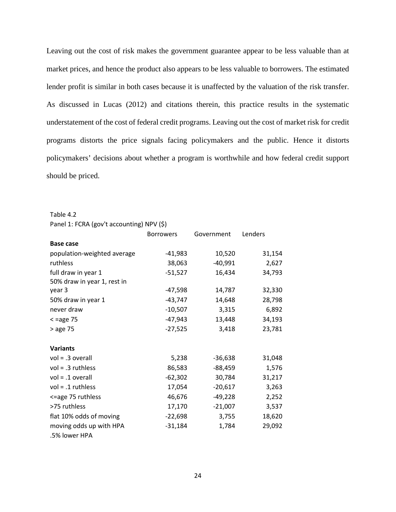Leaving out the cost of risk makes the government guarantee appear to be less valuable than at market prices, and hence the product also appears to be less valuable to borrowers. The estimated lender profit is similar in both cases because it is unaffected by the valuation of the risk transfer. As discussed in Lucas (2012) and citations therein, this practice results in the systematic understatement of the cost of federal credit programs. Leaving out the cost of market risk for credit programs distorts the price signals facing policymakers and the public. Hence it distorts policymakers' decisions about whether a program is worthwhile and how federal credit support should be priced.

Table 4.2

Panel 1: FCRA (gov't accounting) NPV (\$)

|                             | <b>Borrowers</b> | Government | Lenders |
|-----------------------------|------------------|------------|---------|
| <b>Base case</b>            |                  |            |         |
| population-weighted average | $-41,983$        | 10,520     | 31,154  |
| ruthless                    | 38,063           | $-40,991$  | 2,627   |
| full draw in year 1         | $-51,527$        | 16,434     | 34,793  |
| 50% draw in year 1, rest in |                  |            |         |
| year 3                      | $-47,598$        | 14,787     | 32,330  |
| 50% draw in year 1          | $-43,747$        | 14,648     | 28,798  |
| never draw                  | $-10,507$        | 3,315      | 6,892   |
| $<$ =age 75                 | $-47,943$        | 13,448     | 34,193  |
| > age 75                    | $-27,525$        | 3,418      | 23,781  |
|                             |                  |            |         |
| <b>Variants</b>             |                  |            |         |
| $vol = .3$ overall          | 5,238            | $-36,638$  | 31,048  |
| $vol = .3$ ruthless         | 86,583           | $-88,459$  | 1,576   |
| $vol = .1$ overall          | $-62,302$        | 30,784     | 31,217  |
| $vol = .1$ ruthless         | 17,054           | $-20,617$  | 3,263   |
| <=age 75 ruthless           | 46,676           | $-49,228$  | 2,252   |
| >75 ruthless                | 17,170           | $-21,007$  | 3,537   |
| flat 10% odds of moving     | $-22,698$        | 3,755      | 18,620  |
| moving odds up with HPA     | $-31,184$        | 1,784      | 29,092  |
| .5% lower HPA               |                  |            |         |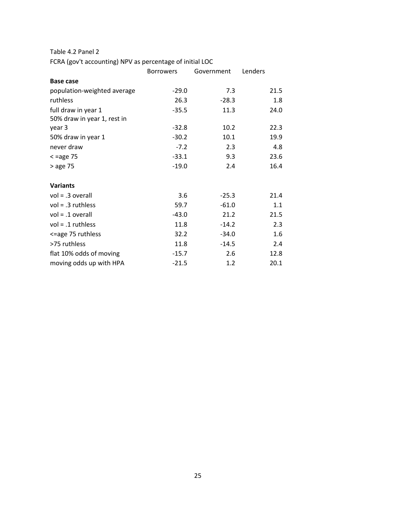Table 4.2 Panel 2

FCRA (gov't accounting) NPV as percentage of initial LOC

|                             | <b>Borrowers</b> | Government | Lenders |
|-----------------------------|------------------|------------|---------|
| <b>Base case</b>            |                  |            |         |
| population-weighted average | $-29.0$          | 7.3        | 21.5    |
| ruthless                    | 26.3             | $-28.3$    | 1.8     |
| full draw in year 1         | $-35.5$          | 11.3       | 24.0    |
| 50% draw in year 1, rest in |                  |            |         |
| year 3                      | $-32.8$          | 10.2       | 22.3    |
| 50% draw in year 1          | $-30.2$          | 10.1       | 19.9    |
| never draw                  | $-7.2$           | 2.3        | 4.8     |
| $\leq$ =age 75              | $-33.1$          | 9.3        | 23.6    |
| > age 75                    | $-19.0$          | 2.4        | 16.4    |
|                             |                  |            |         |
| <b>Variants</b>             |                  |            |         |
| $vol = .3$ overall          | 3.6              | $-25.3$    | 21.4    |
| $vol = .3$ ruthless         | 59.7             | $-61.0$    | 1.1     |
| $vol = .1$ overall          | $-43.0$          | 21.2       | 21.5    |
| $vol = .1$ ruthless         | 11.8             | $-14.2$    | 2.3     |
| <=age 75 ruthless           | 32.2             | $-34.0$    | 1.6     |
| >75 ruthless                | 11.8             | $-14.5$    | 2.4     |
| flat 10% odds of moving     | $-15.7$          | 2.6        | 12.8    |
| moving odds up with HPA     | $-21.5$          | 1.2        | 20.1    |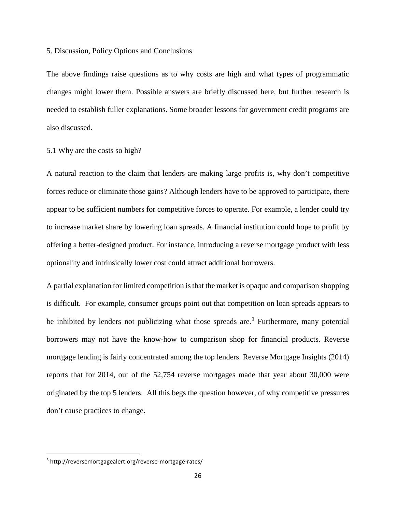#### 5. Discussion, Policy Options and Conclusions

The above findings raise questions as to why costs are high and what types of programmatic changes might lower them. Possible answers are briefly discussed here, but further research is needed to establish fuller explanations. Some broader lessons for government credit programs are also discussed.

## 5.1 Why are the costs so high?

A natural reaction to the claim that lenders are making large profits is, why don't competitive forces reduce or eliminate those gains? Although lenders have to be approved to participate, there appear to be sufficient numbers for competitive forces to operate. For example, a lender could try to increase market share by lowering loan spreads. A financial institution could hope to profit by offering a better-designed product. For instance, introducing a reverse mortgage product with less optionality and intrinsically lower cost could attract additional borrowers.

A partial explanation for limited competition is that the market is opaque and comparison shopping is difficult. For example, consumer groups point out that competition on loan spreads appears to be inhibited by lenders not publicizing what those spreads are.<sup>[3](#page-25-0)</sup> Furthermore, many potential borrowers may not have the know-how to comparison shop for financial products. Reverse mortgage lending is fairly concentrated among the top lenders. Reverse Mortgage Insights (2014) reports that for 2014, out of the 52,754 reverse mortgages made that year about 30,000 were originated by the top 5 lenders. All this begs the question however, of why competitive pressures don't cause practices to change.

<span id="page-25-0"></span> <sup>3</sup> http://reversemortgagealert.org/reverse-mortgage-rates/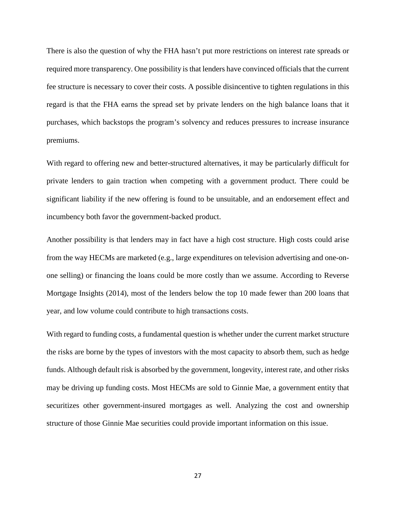There is also the question of why the FHA hasn't put more restrictions on interest rate spreads or required more transparency. One possibility is that lenders have convinced officials that the current fee structure is necessary to cover their costs. A possible disincentive to tighten regulations in this regard is that the FHA earns the spread set by private lenders on the high balance loans that it purchases, which backstops the program's solvency and reduces pressures to increase insurance premiums.

With regard to offering new and better-structured alternatives, it may be particularly difficult for private lenders to gain traction when competing with a government product. There could be significant liability if the new offering is found to be unsuitable, and an endorsement effect and incumbency both favor the government-backed product.

Another possibility is that lenders may in fact have a high cost structure. High costs could arise from the way HECMs are marketed (e.g., large expenditures on television advertising and one-onone selling) or financing the loans could be more costly than we assume. According to Reverse Mortgage Insights (2014), most of the lenders below the top 10 made fewer than 200 loans that year, and low volume could contribute to high transactions costs.

With regard to funding costs, a fundamental question is whether under the current market structure the risks are borne by the types of investors with the most capacity to absorb them, such as hedge funds. Although default risk is absorbed by the government, longevity, interest rate, and other risks may be driving up funding costs. Most HECMs are sold to Ginnie Mae, a government entity that securitizes other government-insured mortgages as well. Analyzing the cost and ownership structure of those Ginnie Mae securities could provide important information on this issue.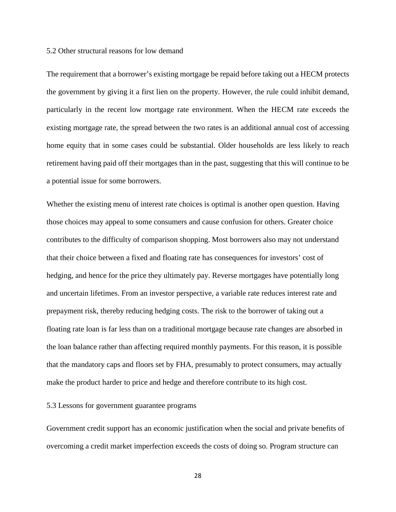#### 5.2 Other structural reasons for low demand

The requirement that a borrower's existing mortgage be repaid before taking out a HECM protects the government by giving it a first lien on the property. However, the rule could inhibit demand, particularly in the recent low mortgage rate environment. When the HECM rate exceeds the existing mortgage rate, the spread between the two rates is an additional annual cost of accessing home equity that in some cases could be substantial. Older households are less likely to reach retirement having paid off their mortgages than in the past, suggesting that this will continue to be a potential issue for some borrowers.

Whether the existing menu of interest rate choices is optimal is another open question. Having those choices may appeal to some consumers and cause confusion for others. Greater choice contributes to the difficulty of comparison shopping. Most borrowers also may not understand that their choice between a fixed and floating rate has consequences for investors' cost of hedging, and hence for the price they ultimately pay. Reverse mortgages have potentially long and uncertain lifetimes. From an investor perspective, a variable rate reduces interest rate and prepayment risk, thereby reducing hedging costs. The risk to the borrower of taking out a floating rate loan is far less than on a traditional mortgage because rate changes are absorbed in the loan balance rather than affecting required monthly payments. For this reason, it is possible that the mandatory caps and floors set by FHA, presumably to protect consumers, may actually make the product harder to price and hedge and therefore contribute to its high cost.

## 5.3 Lessons for government guarantee programs

Government credit support has an economic justification when the social and private benefits of overcoming a credit market imperfection exceeds the costs of doing so. Program structure can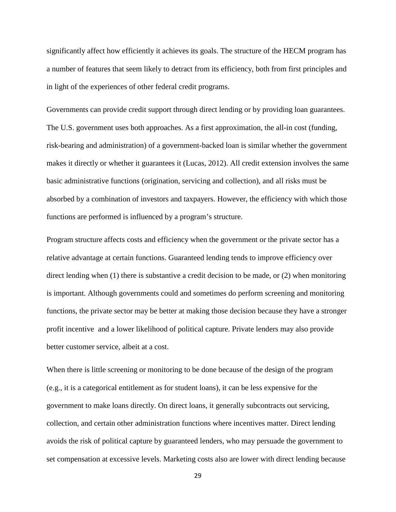significantly affect how efficiently it achieves its goals. The structure of the HECM program has a number of features that seem likely to detract from its efficiency, both from first principles and in light of the experiences of other federal credit programs.

Governments can provide credit support through direct lending or by providing loan guarantees. The U.S. government uses both approaches. As a first approximation, the all-in cost (funding, risk-bearing and administration) of a government-backed loan is similar whether the government makes it directly or whether it guarantees it (Lucas, 2012). All credit extension involves the same basic administrative functions (origination, servicing and collection), and all risks must be absorbed by a combination of investors and taxpayers. However, the efficiency with which those functions are performed is influenced by a program's structure.

Program structure affects costs and efficiency when the government or the private sector has a relative advantage at certain functions. Guaranteed lending tends to improve efficiency over direct lending when (1) there is substantive a credit decision to be made, or (2) when monitoring is important. Although governments could and sometimes do perform screening and monitoring functions, the private sector may be better at making those decision because they have a stronger profit incentive and a lower likelihood of political capture. Private lenders may also provide better customer service, albeit at a cost.

When there is little screening or monitoring to be done because of the design of the program (e.g., it is a categorical entitlement as for student loans), it can be less expensive for the government to make loans directly. On direct loans, it generally subcontracts out servicing, collection, and certain other administration functions where incentives matter. Direct lending avoids the risk of political capture by guaranteed lenders, who may persuade the government to set compensation at excessive levels. Marketing costs also are lower with direct lending because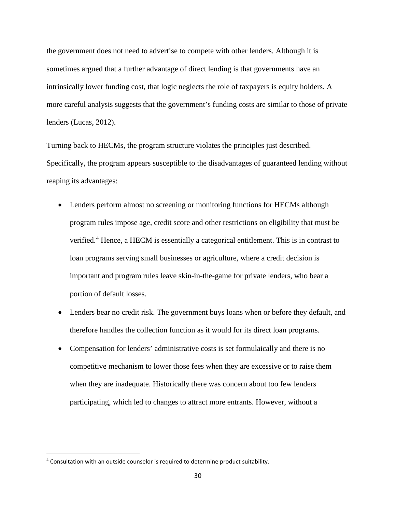the government does not need to advertise to compete with other lenders. Although it is sometimes argued that a further advantage of direct lending is that governments have an intrinsically lower funding cost, that logic neglects the role of taxpayers is equity holders. A more careful analysis suggests that the government's funding costs are similar to those of private lenders (Lucas, 2012).

Turning back to HECMs, the program structure violates the principles just described. Specifically, the program appears susceptible to the disadvantages of guaranteed lending without reaping its advantages:

- Lenders perform almost no screening or monitoring functions for HECMs although program rules impose age, credit score and other restrictions on eligibility that must be verified.[4](#page-29-0) Hence, a HECM is essentially a categorical entitlement. This is in contrast to loan programs serving small businesses or agriculture, where a credit decision is important and program rules leave skin-in-the-game for private lenders, who bear a portion of default losses.
- Lenders bear no credit risk. The government buys loans when or before they default, and therefore handles the collection function as it would for its direct loan programs.
- Compensation for lenders' administrative costs is set formulaically and there is no competitive mechanism to lower those fees when they are excessive or to raise them when they are inadequate. Historically there was concern about too few lenders participating, which led to changes to attract more entrants. However, without a

<span id="page-29-0"></span> <sup>4</sup> Consultation with an outside counselor is required to determine product suitability.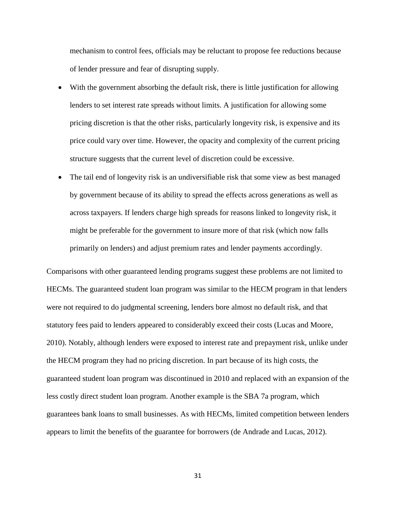mechanism to control fees, officials may be reluctant to propose fee reductions because of lender pressure and fear of disrupting supply.

- With the government absorbing the default risk, there is little justification for allowing lenders to set interest rate spreads without limits. A justification for allowing some pricing discretion is that the other risks, particularly longevity risk, is expensive and its price could vary over time. However, the opacity and complexity of the current pricing structure suggests that the current level of discretion could be excessive.
- The tail end of longevity risk is an undiversifiable risk that some view as best managed by government because of its ability to spread the effects across generations as well as across taxpayers. If lenders charge high spreads for reasons linked to longevity risk, it might be preferable for the government to insure more of that risk (which now falls primarily on lenders) and adjust premium rates and lender payments accordingly.

Comparisons with other guaranteed lending programs suggest these problems are not limited to HECMs. The guaranteed student loan program was similar to the HECM program in that lenders were not required to do judgmental screening, lenders bore almost no default risk, and that statutory fees paid to lenders appeared to considerably exceed their costs (Lucas and Moore, 2010). Notably, although lenders were exposed to interest rate and prepayment risk, unlike under the HECM program they had no pricing discretion. In part because of its high costs, the guaranteed student loan program was discontinued in 2010 and replaced with an expansion of the less costly direct student loan program. Another example is the SBA 7a program, which guarantees bank loans to small businesses. As with HECMs, limited competition between lenders appears to limit the benefits of the guarantee for borrowers (de Andrade and Lucas, 2012).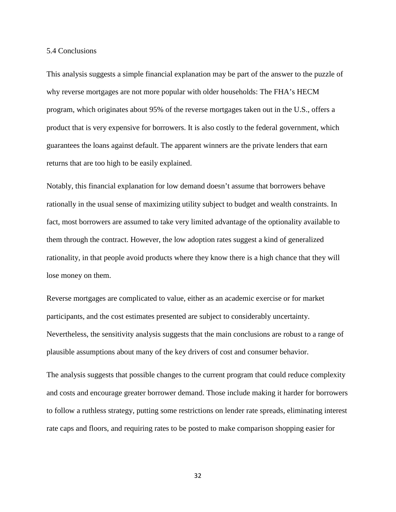#### 5.4 Conclusions

This analysis suggests a simple financial explanation may be part of the answer to the puzzle of why reverse mortgages are not more popular with older households: The FHA's HECM program, which originates about 95% of the reverse mortgages taken out in the U.S., offers a product that is very expensive for borrowers. It is also costly to the federal government, which guarantees the loans against default. The apparent winners are the private lenders that earn returns that are too high to be easily explained.

Notably, this financial explanation for low demand doesn't assume that borrowers behave rationally in the usual sense of maximizing utility subject to budget and wealth constraints. In fact, most borrowers are assumed to take very limited advantage of the optionality available to them through the contract. However, the low adoption rates suggest a kind of generalized rationality, in that people avoid products where they know there is a high chance that they will lose money on them.

Reverse mortgages are complicated to value, either as an academic exercise or for market participants, and the cost estimates presented are subject to considerably uncertainty. Nevertheless, the sensitivity analysis suggests that the main conclusions are robust to a range of plausible assumptions about many of the key drivers of cost and consumer behavior.

The analysis suggests that possible changes to the current program that could reduce complexity and costs and encourage greater borrower demand. Those include making it harder for borrowers to follow a ruthless strategy, putting some restrictions on lender rate spreads, eliminating interest rate caps and floors, and requiring rates to be posted to make comparison shopping easier for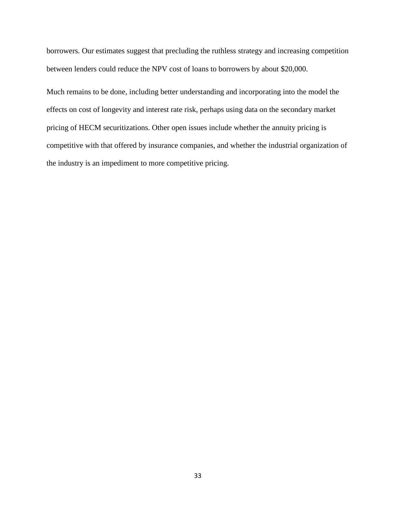borrowers. Our estimates suggest that precluding the ruthless strategy and increasing competition between lenders could reduce the NPV cost of loans to borrowers by about \$20,000.

Much remains to be done, including better understanding and incorporating into the model the effects on cost of longevity and interest rate risk, perhaps using data on the secondary market pricing of HECM securitizations. Other open issues include whether the annuity pricing is competitive with that offered by insurance companies, and whether the industrial organization of the industry is an impediment to more competitive pricing.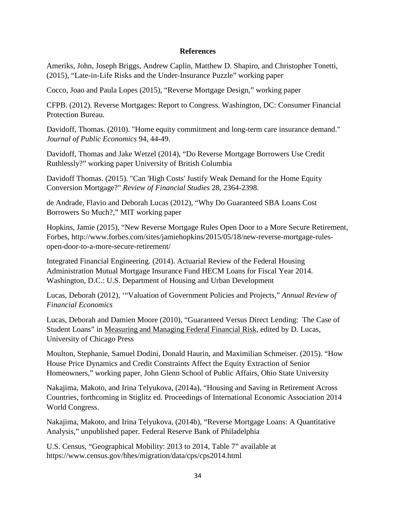# **References**

Ameriks, John, Joseph Briggs, Andrew Caplin, Matthew D. Shapiro, and Christopher Tonetti, (2015), "Late-in-Life Risks and the Under-Insurance Puzzle" working paper

Cocco, Joao and Paula Lopes (2015), "Reverse Mortgage Design," working paper

CFPB. (2012). Reverse Mortgages: Report to Congress. Washington, DC: Consumer Financial Protection Bureau.

Davidoff, Thomas. (2010). "Home equity commitment and long-term care insurance demand." *Journal of Public Economics* 94, 44-49.

Davidoff, Thomas and Jake Wetzel (2014), "Do Reverse Mortgage Borrowers Use Credit Ruthlessly?" working paper University of British Columbia

Davidoff Thomas. (2015). "Can 'High Costs' Justify Weak Demand for the Home Equity Conversion Mortgage?" *Review of Financial Studies* 28, 2364-2398.

de Andrade, Flavio and Deborah Lucas (2012), "Why Do Guaranteed SBA Loans Cost Borrowers So Much?," MIT working paper

Hopkins, Jamie (2015), "New Reverse Mortgage Rules Open Door to a More Secure Retirement, Forbes, http://www.forbes.com/sites/jamiehopkins/2015/05/18/new-reverse-mortgage-rulesopen-door-to-a-more-secure-retirement/

Integrated Financial Engineering. (2014). Actuarial Review of the Federal Housing Administration Mutual Mortgage Insurance Fund HECM Loans for Fiscal Year 2014. Washington, D.C.: U.S. Department of Housing and Urban Development

Lucas, Deborah (2012), '"Valuation of Government Policies and Projects," *Annual Review of Financial Economics*

Lucas, Deborah and Damien Moore (2010), "Guaranteed Versus Direct Lending: The Case of Student Loans" in Measuring and Managing Federal Financial Risk, edited by D. Lucas, University of Chicago Press

Moulton, Stephanie, Samuel Dodini, Donald Haurin, and Maximilian Schmeiser. (2015). "How House Price Dynamics and Credit Constraints Affect the Equity Extraction of Senior Homeowners," working paper, John Glenn School of Public Affairs, Ohio State University

Nakajima, Makoto, and Irina Telyukova, (2014a), "Housing and Saving in Retirement Across Countries, forthcoming in Stiglitz ed. Proceedings of International Economic Association 2014 World Congress.

Nakajima, Makoto, and Irina Telyukova, (2014b), "Reverse Mortgage Loans: A Quantitative Analysis," unpublished paper. Federal Reserve Bank of Philadelphia

U.S. Census, "Geographical Mobility: 2013 to 2014, Table 7" available at https://www.census.gov/hhes/migration/data/cps/cps2014.html